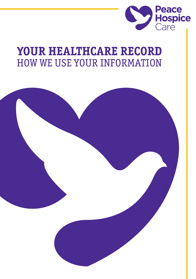

# YOUR HEALTHCARE RECORD **HOW WE USE YOUR INFORMATION**

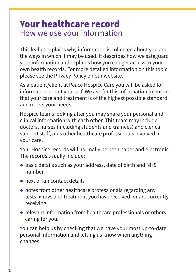### Your healthcare record How we use your information

This leaflet explains why information is collected about you and the ways in which it may be used. It describes how we safeguard your information and explains how you can get access to your own health records. For more detailed information on this topic, please see the Privacy Policy on our website.

As a patient/client at Peace Hospice Care you will be asked for information about yourself. We ask for this information to ensure that your care and treatment is of the highest possible standard and meets your needs.

Hospice teams looking after you may share your personal and clinical information with each other. This team may include: doctors, nurses (including students and trainees) and clerical support staff, plus other healthcare professionals involved in your care.

Your Hospice records will normally be both paper and electronic. The records usually include:

- basic details such as your address, date of birth and NHS number
- $\bullet$  next of kin contact details
- notes from other healthcare professionals regarding any tests, x-rays and treatment you have received, or are currently receiving
- relevant information from healthcare professionals or others caring for you.

You can help us by checking that we have your most up-to-date personal information and letting us know when anything changes.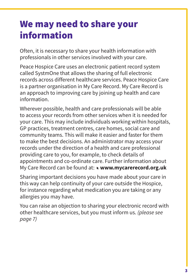## We may need to share your information

Often, it is necessary to share your health information with professionals in other services involved with your care.

Peace Hospice Care uses an electronic patient record system called SystmOne that allows the sharing of full electronic records across different healthcare services. Peace Hospice Care is a partner organisation in My Care Record. My Care Record is an approach to improving care by joining up health and care information.

Wherever possible, health and care professionals will be able to access your records from other services when it is needed for your care. This may include individuals working within hospitals, GP practices, treatment centres, care homes, social care and community teams. This will make it easier and faster for them to make the best decisions. An administrator may access your records under the direction of a health and care professional providing care to you, for example, to check details of appointments and co-ordinate care. Further information about My Care Record can be found at: **www.mycarerecord.org.uk**

Sharing important decisions you have made about your care in this way can help continuity of your care outside the Hospice, for instance regarding what medication you are taking or any allergies you may have.

You can raise an objection to sharing your electronic record with other healthcare services, but you must inform us. *[\(please see](#page-6-0)  [page 7\)](#page-6-0)*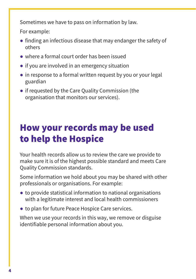Sometimes we have to pass on information by law.

For example:

- finding an infectious disease that may endanger the safety of others
- where a formal court order has been issued
- if you are involved in an emergency situation
- in response to a formal written request by you or your legal guardian
- if requested by the Care Ouality Commission (the organisation that monitors our services).

## How your records may be used to help the Hospice

Your health records allow us to review the care we provide to make sure it is of the highest possible standard and meets Care Quality Commission standards.

Some information we hold about you may be shared with other professionals or organisations. For example:

- to provide statistical information to national organisations with a legitimate interest and local health commissioners
- to plan for future Peace Hospice Care services.

When we use your records in this way, we remove or disguise identifiable personal information about you.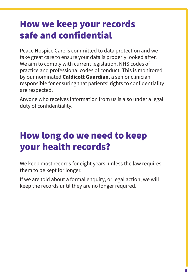## How we keep your records safe and confidential

Peace Hospice Care is committed to data protection and we take great care to ensure your data is properly looked after. We aim to comply with current legislation, NHS codes of practice and professional codes of conduct. This is monitored by our nominated **Caldicott Guardian**, a senior clinician responsible for ensuring that patients' rights to confidentiality are respected.

Anyone who receives information from us is also under a legal duty of confidentiality.

## How long do we need to keep your health records?

We keep most records for eight years, unless the law requires them to be kept for longer.

If we are told about a formal enquiry, or legal action, we will keep the records until they are no longer required.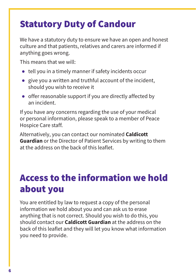## Statutory Duty of Candour

We have a statutory duty to ensure we have an open and honest culture and that patients, relatives and carers are informed if anything goes wrong.

This means that we will:

- tell you in a timely manner if safety incidents occur
- give you a written and truthful account of the incident, should you wish to receive it
- offer reasonable support if you are directly affected by an incident.

If you have any concerns regarding the use of your medical or personal information, please speak to a member of Peace Hospice Care staff.

Alternatively, you can contact our nominated **Caldicott Guardian** or the Director of Patient Services by writing to them at the address on the [back of this leaflet](#page-7-0).

## Access to the information we hold about you

You are entitled by law to request a copy of the personal information we hold about you and can ask us to erase anything that is not correct. Should you wish to do this, you should contact our **Caldicott Guardian** at the address on the back of this leaflet and they will let you know what information you need to provide.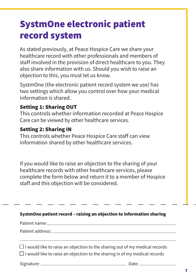## <span id="page-6-0"></span>SystmOne electronic patient record system

As stated previously, at Peace Hospice Care we share your healthcare record with other professionals and members of staff involved in the provision of direct healthcare to you. They also share information with us. Should you wish to raise an objection to this, you must let us know.

SystmOne (the electronic patient record system we use) has two settings which allow you control over how your medical information is shared.

#### Setting 1: Sharing OUT

This controls whether information recorded at Peace Hospice Care can be viewed by other healthcare services.

#### Setting 2: Sharing IN

This controls whether Peace Hospice Care staff can view information shared by other healthcare services.

If you would like to raise an objection to the sharing of your healthcare records with other healthcare services, please complete the form below and return it to a member of Hospice staff and this objection will be considered.

| SystmOne patient record - raising an objection to information sharing                                                                                                   |
|-------------------------------------------------------------------------------------------------------------------------------------------------------------------------|
|                                                                                                                                                                         |
|                                                                                                                                                                         |
| $\Box$ I would like to raise an objection to the sharing out of my medical records<br>$\Box$ I would like to raise an objection to the sharing in of my medical records |
|                                                                                                                                                                         |
|                                                                                                                                                                         |